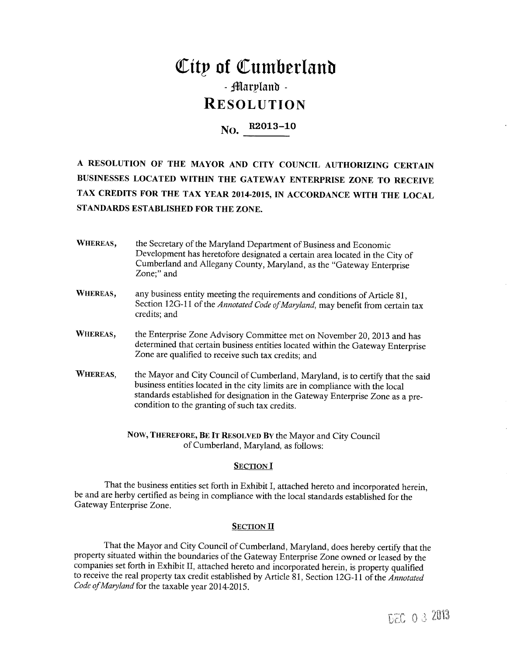## City of Cumberland - Marvland -**RESOLUTION**

# No. R2013-10

A RESOLUTION OF THE MAYOR AND CITY COUNCIL AUTHORIZING CERTAIN BUSINESSES LOCATED WITHIN THE GATEWAY ENTERPRISE ZONE TO RECEIVE TAX CREDITS FOR THE TAX YEAR 2014-2015, IN ACCORDANCE WITH THE LOCAL STANDARDS ESTABLISHED FOR THE ZONE.

- WHEREAS, the Secretary of the Maryland Department of Business and Economic Development has heretofore designated a certain area located in the City of Cumberland and Allegany County, Maryland, as the "Gateway Enterprise Zone;" and
- WHEREAS, any business entity meeting the requirements and conditions of Article 81, Section 12G-11 of the Annotated Code of Maryland, may benefit from certain tax credits; and
- WHEREAS, the Enterprise Zone Advisory Committee met on November 20, 2013 and has determined that certain business entities located within the Gateway Enterprise Zone are qualified to receive such tax credits; and
- **WHEREAS,** the Mayor and City Council of Cumberland, Maryland, is to certify that the said business entities located in the city limits are in compliance with the local standards established for designation in the Gateway Enterprise Zone as a precondition to the granting of such tax credits.

NOW, THEREFORE, BE IT RESOLVED BY the Mayor and City Council of Cumberland, Maryland, as follows:

#### **SECTION I**

That the business entities set forth in Exhibit I, attached hereto and incorporated herein, be and are herby certified as being in compliance with the local standards established for the Gateway Enterprise Zone.

#### **SECTION II**

That the Mayor and City Council of Cumberland, Maryland, does hereby certify that the property situated within the boundaries of the Gateway Enterprise Zone owned or leased by the companies set forth in Exhibit II, attached hereto and incorporated herein, is property qualified to receive the real property tax credit established by Article 81, Section 12G-11 of the Annotated Code of Maryland for the taxable year 2014-2015.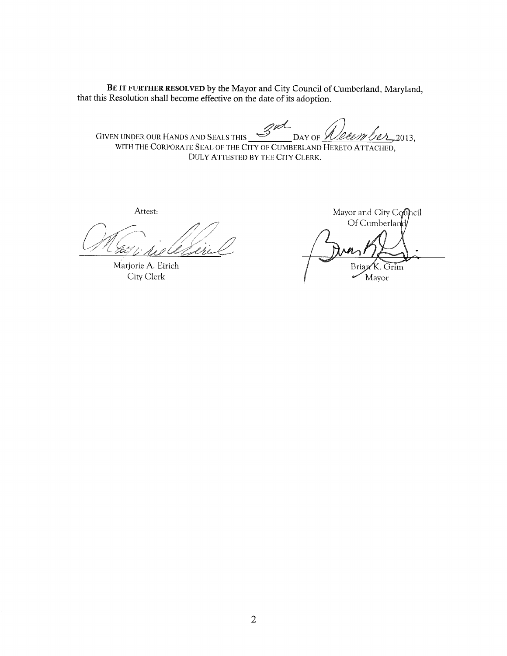BE IT FURTHER RESOLVED by the Mayor and City Council of Cumberland, Maryland, that this Resolution shall become effective on the date of its adoption.

GIVEN UNDER OUR HANDS AND SEALS THIS SPA res 2013, DAY OF  $\mathscr A$ 'Døem

WITH THE CORPORATE SEAL OF THE CITY OF CUMBERLAND HERETO ATTACHED, DULY ATTESTED BY THE CITY CLERK.

Attest:

Marjorie A. Eirich City Clerk

Mayor and City Conncil Of Cumberland Brian K. Grim Mayor

 $\overline{2}$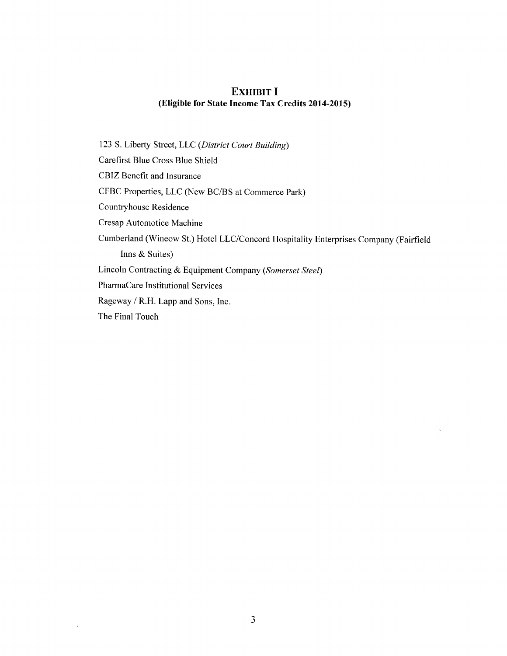## **EXHIBIT I** (Eligible for State Income Tax Credits 2014-2015)

123 S. Liberty Street, LLC (District Court Building) Carefirst Blue Cross Blue Shield CBIZ Benefit and Insurance CFBC Properties, LLC (New BC/BS at Commerce Park) Countryhouse Residence Cresap Automotice Machine Cumberland (Wineow St.) Hotel LLC/Concord Hospitality Enterprises Company (Fairfield Inns & Suites) Lincoln Contracting & Equipment Company (Somerset Steel) PharmaCare Institutional Services Rageway / R.H. Lapp and Sons, Inc. The Final Touch

 $\gamma$ 

 $\epsilon$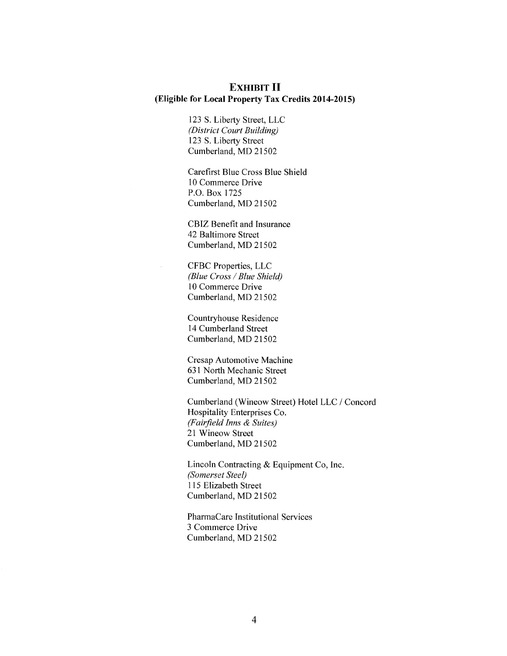### **EXHIBIT II** (Eligible for Local Property Tax Credits 2014-2015)

123 S. Liberty Street, LLC (District Court Building) 123 S. Liberty Street Cumberland, MD 21502

Carefirst Blue Cross Blue Shield 10 Commerce Drive P.O. Box 1725 Cumberland, MD 21502

CBIZ Benefit and Insurance 42 Baltimore Street Cumberland, MD 21502

CFBC Properties, LLC (Blue Cross / Blue Shield) 10 Commerce Drive Cumberland, MD 21502

l.

Countryhouse Residence 14 Cumberland Street Cumberland, MD 21502

Cresap Automotive Machine 631 North Mechanic Street Cumberland, MD 21502

Cumberland (Wineow Street) Hotel LLC / Concord Hospitality Enterprises Co. (Fairfield Inns & Suites) 21 Wineow Street Cumberland, MD 21502

Lincoln Contracting & Equipment Co, Inc. (Somerset Steel) 115 Elizabeth Street Cumberland, MD 21502

PharmaCare Institutional Services 3 Commerce Drive Cumberland, MD 21502